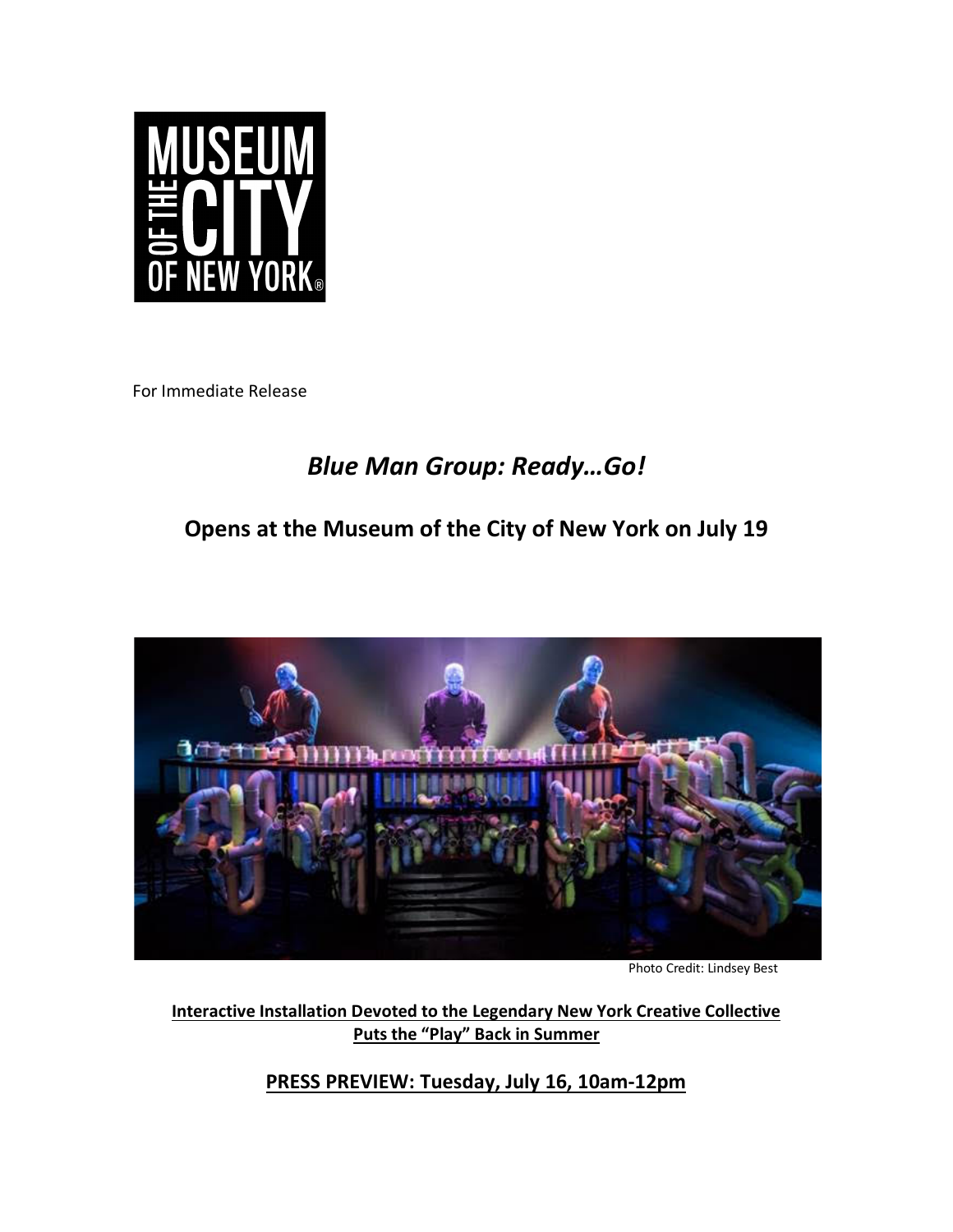

For Immediate Release

# *Blue Man Group: Ready…Go!*

## **Opens at the Museum of the City of New York on July 19**



Photo Credit: Lindsey Best

**Interactive Installation Devoted to the Legendary New York Creative Collective Puts the "Play" Back in Summer**

**PRESS PREVIEW: Tuesday, July 16, 10am-12pm**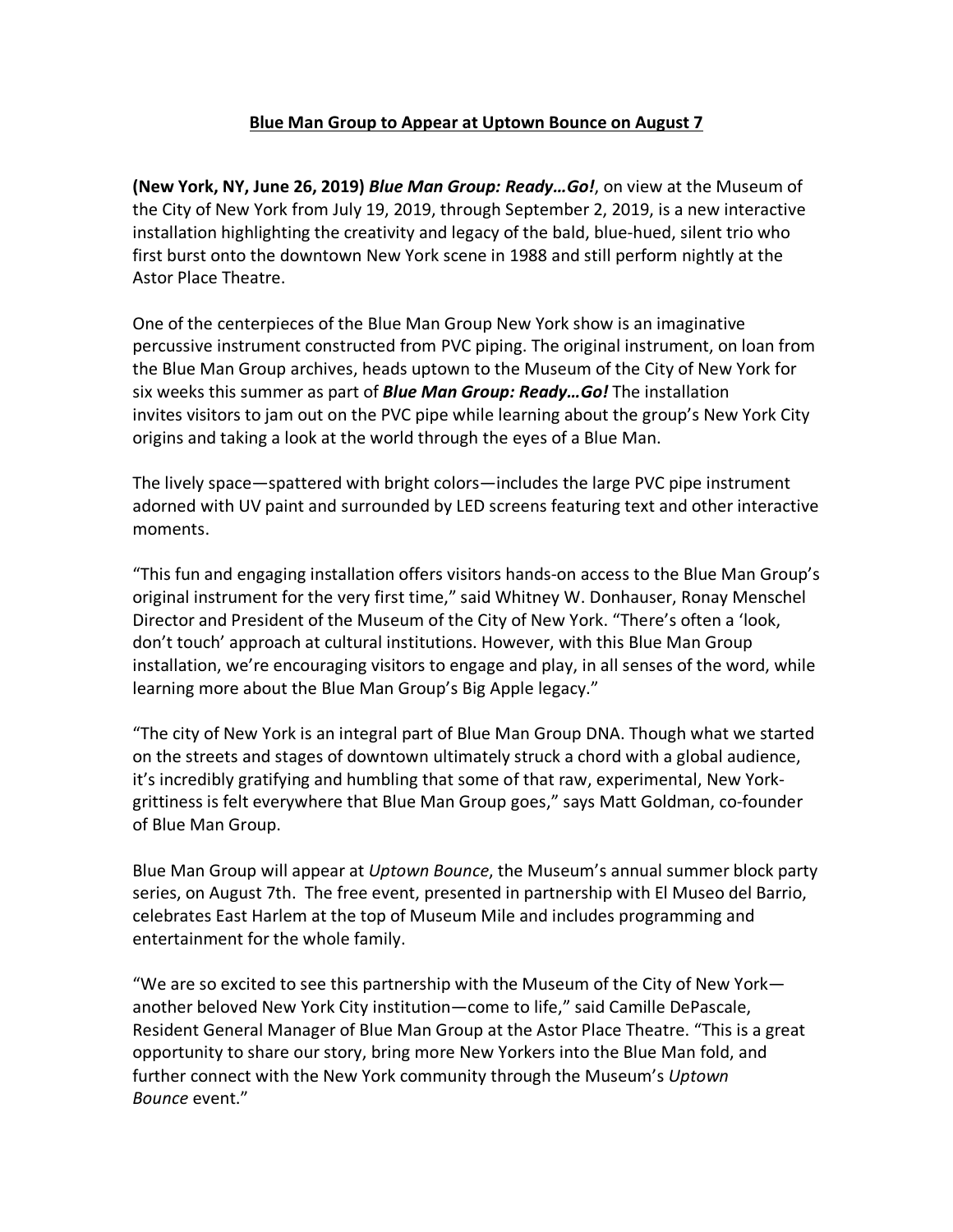### **Blue Man Group to Appear at Uptown Bounce on August 7**

**(New York, NY, June 26, 2019)** *Blue Man Group: Ready…Go!*, on view at the Museum of the City of New York from July 19, 2019, through September 2, 2019, is a new interactive installation highlighting the creativity and legacy of the bald, blue-hued, silent trio who first burst onto the downtown New York scene in 1988 and still perform nightly at the Astor Place Theatre.

One of the centerpieces of the Blue Man Group New York show is an imaginative percussive instrument constructed from PVC piping. The original instrument, on loan from the Blue Man Group archives, heads uptown to the Museum of the City of New York for six weeks this summer as part of *Blue Man Group: Ready…Go!* The installation invites visitors to jam out on the PVC pipe while learning about the group's New York City origins and taking a look at the world through the eyes of a Blue Man.

The lively space—spattered with bright colors—includes the large PVC pipe instrument adorned with UV paint and surrounded by LED screens featuring text and other interactive moments.

"This fun and engaging installation offers visitors hands-on access to the Blue Man Group's original instrument for the very first time," said Whitney W. Donhauser, Ronay Menschel Director and President of the Museum of the City of New York. "There's often a 'look, don't touch' approach at cultural institutions. However, with this Blue Man Group installation, we're encouraging visitors to engage and play, in all senses of the word, while learning more about the Blue Man Group's Big Apple legacy."

"The city of New York is an integral part of Blue Man Group DNA. Though what we started on the streets and stages of downtown ultimately struck a chord with a global audience, it's incredibly gratifying and humbling that some of that raw, experimental, New Yorkgrittiness is felt everywhere that Blue Man Group goes," says Matt Goldman, co-founder of Blue Man Group.

Blue Man Group will appear at *Uptown Bounce*, the Museum's annual summer block party series, on August 7th. The free event, presented in partnership with El Museo del Barrio, celebrates East Harlem at the top of Museum Mile and includes programming and entertainment for the whole family.

"We are so excited to see this partnership with the Museum of the City of New York another beloved New York City institution—come to life," said Camille DePascale, Resident General Manager of Blue Man Group at the Astor Place Theatre. "This is a great opportunity to share our story, bring more New Yorkers into the Blue Man fold, and further connect with the New York community through the Museum's *Uptown Bounce* event."